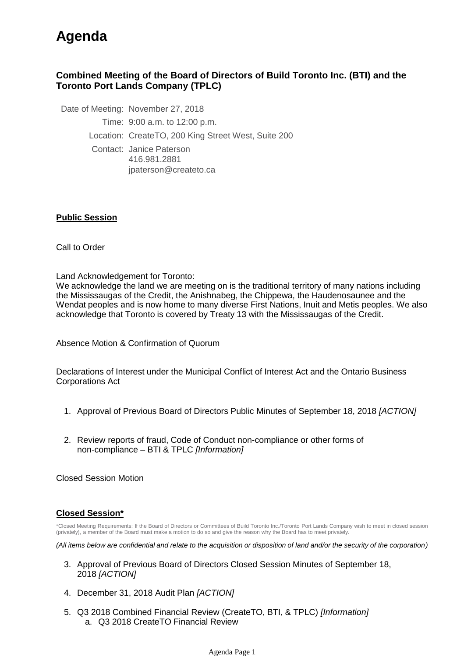## **Agenda**

## **Combined Meeting of the Board of Directors of Build Toronto Inc. (BTI) and the Toronto Port Lands Company (TPLC)**

Date of Meeting: November 27, 2018 Time: 9:00 a.m. to 12:00 p.m. Location: CreateTO, 200 King Street West, Suite 200 Contact: Janice Paterson 416.981.2881 jpaterson@createto.ca

## **Public Session**

Call to Order

Land Acknowledgement for Toronto:

We acknowledge the land we are meeting on is the traditional territory of many nations including the Mississaugas of the Credit, the Anishnabeg, the Chippewa, the Haudenosaunee and the Wendat peoples and is now home to many diverse First Nations, Inuit and Metis peoples. We also acknowledge that Toronto is covered by Treaty 13 with the Mississaugas of the Credit.

Absence Motion & Confirmation of Quorum

Declarations of Interest under the Municipal Conflict of Interest Act and the Ontario Business Corporations Act

- 1. Approval of Previous Board of Directors Public Minutes of September 18, 2018 *[ACTION]*
- 2. Review reports of fraud, Code of Conduct non-compliance or other forms of non-compliance – BTI & TPLC *[Information]*

Closed Session Motion

## **Closed Session\***

\*Closed Meeting Requirements: If the Board of Directors or Committees of Build Toronto Inc./Toronto Port Lands Company wish to meet in closed session (privately), a member of the Board must make a motion to do so and give the reason why the Board has to meet privately.

*(All items below are confidential and relate to the acquisition or disposition of land and/or the security of the corporation)*

- 3. Approval of Previous Board of Directors Closed Session Minutes of September 18, 2018 *[ACTION]*
- 4. December 31, 2018 Audit Plan *[ACTION]*
- a. Q3 2018 CreateTO Financial Review 5. Q3 2018 Combined Financial Review (CreateTO, BTI, & TPLC) *[Information]*